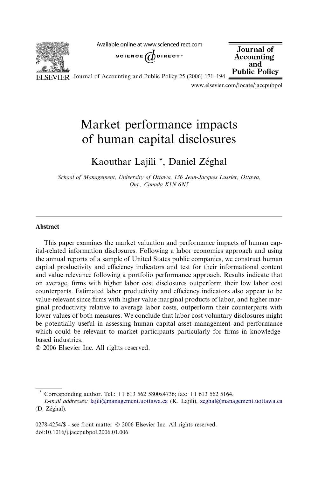Available online at www.sciencedirect.com



SCIENCE  $\bigcirc$  DIRECT<sup>\*</sup>

Journal of Accounting and **Public Policy** 

VIER Journal of Accounting and Public Policy 25 (2006) 171–194  $\pm$ 

www.elsevier.com/locate/jaccpubpol

# Market performance impacts of human capital disclosures

### Kaouthar Lajili \*, Daniel Zéghal

School of Management, University of Ottawa, 136 Jean-Jacques Lussier, Ottawa, Ont., Canada K1N 6N5

#### Abstract

This paper examines the market valuation and performance impacts of human capital-related information disclosures. Following a labor economics approach and using the annual reports of a sample of United States public companies, we construct human capital productivity and efficiency indicators and test for their informational content and value relevance following a portfolio performance approach. Results indicate that on average, firms with higher labor cost disclosures outperform their low labor cost counterparts. Estimated labor productivity and efficiency indicators also appear to be value-relevant since firms with higher value marginal products of labor, and higher marginal productivity relative to average labor costs, outperform their counterparts with lower values of both measures. We conclude that labor cost voluntary disclosures might be potentially useful in assessing human capital asset management and performance which could be relevant to market participants particularly for firms in knowledgebased industries.

© 2006 Elsevier Inc. All rights reserved.

Corresponding author. Tel.: +1 613 562 5800x4736; fax: +1 613 562 5164.

E-mail addresses: [lajili@management.uottawa.ca](mailto:lajili@management.uottawa.ca) (K. Lajili), [zeghal@management.uottawa.ca](mailto:zeghal@management.uottawa.ca)  $(D. Zéghal).$ 

 $0278 - 4254$ /\$ - see front matter  $\odot$  2006 Elsevier Inc. All rights reserved. doi:10.1016/j.jaccpubpol.2006.01.006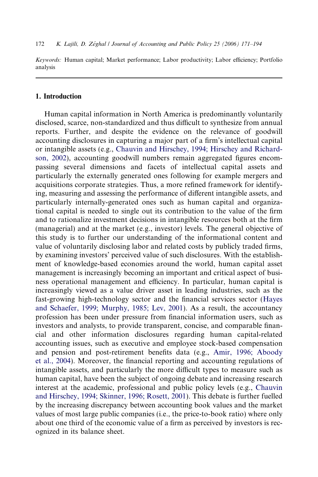Keywords: Human capital; Market performance; Labor productivity; Labor efficiency; Portfolio analysis

### 1. Introduction

Human capital information in North America is predominantly voluntarily disclosed, scarce, non-standardized and thus difficult to synthesize from annual reports. Further, and despite the evidence on the relevance of goodwill accounting disclosures in capturing a major part of a firm's intellectual capital or intangible assets (e.g., [Chauvin and Hirschey, 1994; Hirschey and Richard](#page--1-0)[son, 2002](#page--1-0)), accounting goodwill numbers remain aggregated figures encompassing several dimensions and facets of intellectual capital assets and particularly the externally generated ones following for example mergers and acquisitions corporate strategies. Thus, a more refined framework for identifying, measuring and assessing the performance of different intangible assets, and particularly internally-generated ones such as human capital and organizational capital is needed to single out its contribution to the value of the firm and to rationalize investment decisions in intangible resources both at the firm (managerial) and at the market (e.g., investor) levels. The general objective of this study is to further our understanding of the informational content and value of voluntarily disclosing labor and related costs by publicly traded firms, by examining investors' perceived value of such disclosures. With the establishment of knowledge-based economies around the world, human capital asset management is increasingly becoming an important and critical aspect of business operational management and efficiency. In particular, human capital is increasingly viewed as a value driver asset in leading industries, such as the fast-growing high-technology sector and the financial services sector [\(Hayes](#page--1-0) [and Schaefer, 1999; Murphy, 1985; Lev, 2001](#page--1-0)). As a result, the accountancy profession has been under pressure from financial information users, such as investors and analysts, to provide transparent, concise, and comparable financial and other information disclosures regarding human capital-related accounting issues, such as executive and employee stock-based compensation and pension and post-retirement benefits data (e.g., [Amir, 1996; Aboody](#page--1-0) [et al., 2004\)](#page--1-0). Moreover, the financial reporting and accounting regulations of intangible assets, and particularly the more difficult types to measure such as human capital, have been the subject of ongoing debate and increasing research interest at the academic, professional and public policy levels (e.g., [Chauvin](#page--1-0) [and Hirschey, 1994; Skinner, 1996; Rosett, 2001](#page--1-0)). This debate is further fuelled by the increasing discrepancy between accounting book values and the market values of most large public companies (i.e., the price-to-book ratio) where only about one third of the economic value of a firm as perceived by investors is recognized in its balance sheet.